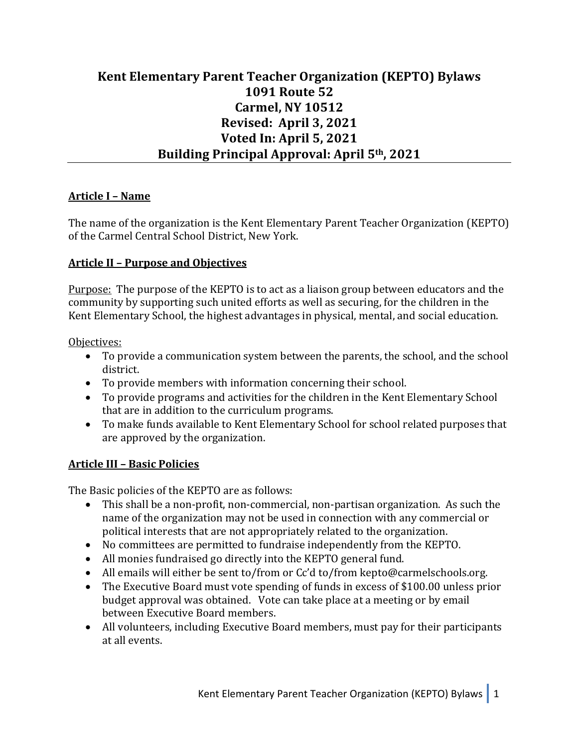# **Kent Elementary Parent Teacher Organization (KEPTO) Bylaws 1091 Route 52 Carmel, NY 10512 Revised: April 3, 2021 Voted In: April 5, 2021** Building Principal Approval: April 5<sup>th</sup>, 2021

### **Article I – Name**

The name of the organization is the Kent Elementary Parent Teacher Organization (KEPTO) of the Carmel Central School District, New York.

#### **Article II - Purpose and Objectives**

Purpose: The purpose of the KEPTO is to act as a liaison group between educators and the community by supporting such united efforts as well as securing, for the children in the Kent Elementary School, the highest advantages in physical, mental, and social education.

#### Objectives:

- To provide a communication system between the parents, the school, and the school district.
- To provide members with information concerning their school.
- To provide programs and activities for the children in the Kent Elementary School that are in addition to the curriculum programs.
- To make funds available to Kent Elementary School for school related purposes that are approved by the organization.

#### **Article III – Basic Policies**

The Basic policies of the KEPTO are as follows:

- This shall be a non-profit, non-commercial, non-partisan organization. As such the name of the organization may not be used in connection with any commercial or political interests that are not appropriately related to the organization.
- No committees are permitted to fundraise independently from the KEPTO.
- All monies fundraised go directly into the KEPTO general fund.
- All emails will either be sent to/from or Cc'd to/from kepto@carmelschools.org.
- The Executive Board must vote spending of funds in excess of \$100.00 unless prior budget approval was obtained. Vote can take place at a meeting or by email between Executive Board members.
- All volunteers, including Executive Board members, must pay for their participants at all events.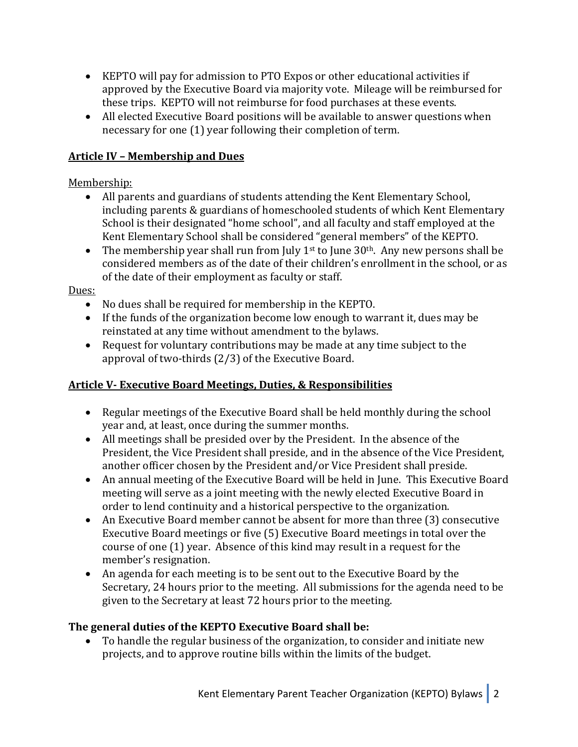- KEPTO will pay for admission to PTO Expos or other educational activities if approved by the Executive Board via majority vote. Mileage will be reimbursed for these trips. KEPTO will not reimburse for food purchases at these events.
- All elected Executive Board positions will be available to answer questions when necessary for one (1) year following their completion of term.

### **Article IV – Membership and Dues**

### Membership:

- All parents and guardians of students attending the Kent Elementary School, including parents & guardians of homeschooled students of which Kent Elementary School is their designated "home school", and all faculty and staff employed at the Kent Elementary School shall be considered "general members" of the KEPTO.
- The membership year shall run from July 1<sup>st</sup> to June  $30<sup>th</sup>$ . Any new persons shall be considered members as of the date of their children's enrollment in the school, or as of the date of their employment as faculty or staff.

### Dues:

- No dues shall be required for membership in the KEPTO.
- If the funds of the organization become low enough to warrant it, dues may be reinstated at any time without amendment to the bylaws.
- Request for voluntary contributions may be made at any time subject to the approval of two-thirds  $(2/3)$  of the Executive Board.

### **Article V- Executive Board Meetings, Duties, & Responsibilities**

- Regular meetings of the Executive Board shall be held monthly during the school year and, at least, once during the summer months.
- All meetings shall be presided over by the President. In the absence of the President, the Vice President shall preside, and in the absence of the Vice President, another officer chosen by the President and/or Vice President shall preside.
- An annual meeting of the Executive Board will be held in June. This Executive Board meeting will serve as a joint meeting with the newly elected Executive Board in order to lend continuity and a historical perspective to the organization.
- An Executive Board member cannot be absent for more than three (3) consecutive Executive Board meetings or five (5) Executive Board meetings in total over the course of one (1) year. Absence of this kind may result in a request for the member's resignation.
- An agenda for each meeting is to be sent out to the Executive Board by the Secretary, 24 hours prior to the meeting. All submissions for the agenda need to be given to the Secretary at least 72 hours prior to the meeting.

### **The general duties of the KEPTO Executive Board shall be:**

• To handle the regular business of the organization, to consider and initiate new projects, and to approve routine bills within the limits of the budget.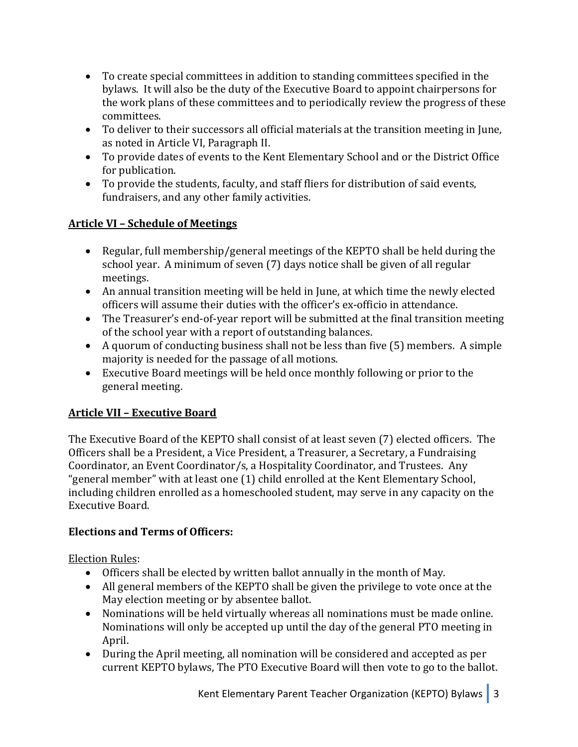- To create special committees in addition to standing committees specified in the bylaws. It will also be the duty of the Executive Board to appoint chairpersons for the work plans of these committees and to periodically review the progress of these committees.
- To deliver to their successors all official materials at the transition meeting in June, as noted in Article VI, Paragraph II.
- To provide dates of events to the Kent Elementary School and or the District Office for publication.
- To provide the students, faculty, and staff fliers for distribution of said events, fundraisers, and any other family activities.

## **Article VI - Schedule of Meetings**

- Regular, full membership/general meetings of the KEPTO shall be held during the school year. A minimum of seven (7) days notice shall be given of all regular meetings.
- An annual transition meeting will be held in June, at which time the newly elected officers will assume their duties with the officer's ex-officio in attendance.
- The Treasurer's end-of-year report will be submitted at the final transition meeting of the school year with a report of outstanding balances.
- A quorum of conducting business shall not be less than five  $(5)$  members. A simple majority is needed for the passage of all motions.
- Executive Board meetings will be held once monthly following or prior to the general meeting.

## **Article VII – Executive Board**

The Executive Board of the KEPTO shall consist of at least seven (7) elected officers. The Officers shall be a President, a Vice President, a Treasurer, a Secretary, a Fundraising Coordinator, an Event Coordinator/s, a Hospitality Coordinator, and Trustees. Any "general member" with at least one (1) child enrolled at the Kent Elementary School, including children enrolled as a homeschooled student, may serve in any capacity on the Executive Board.

## **Elections and Terms of Officers:**

**Election Rules:** 

- Officers shall be elected by written ballot annually in the month of May.
- All general members of the KEPTO shall be given the privilege to vote once at the May election meeting or by absentee ballot.
- Nominations will be held virtually whereas all nominations must be made online. Nominations will only be accepted up until the day of the general PTO meeting in April.
- During the April meeting, all nomination will be considered and accepted as per current KEPTO bylaws, The PTO Executive Board will then vote to go to the ballot.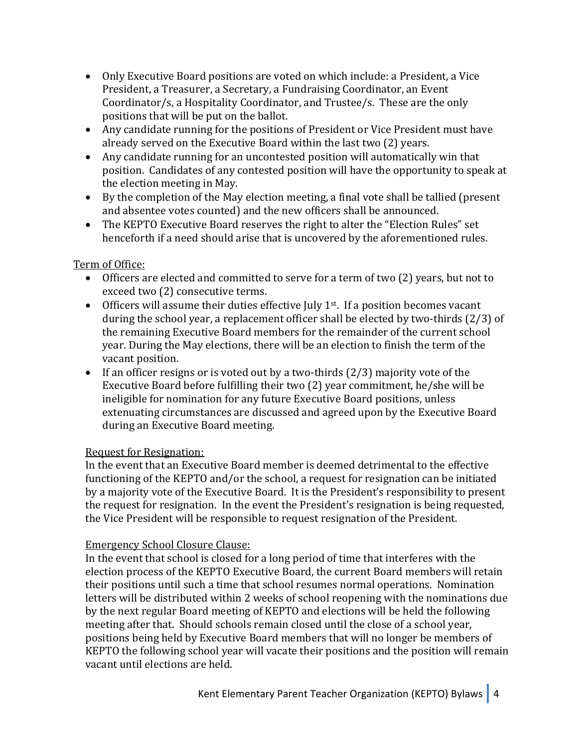- Only Executive Board positions are voted on which include: a President, a Vice President, a Treasurer, a Secretary, a Fundraising Coordinator, an Event Coordinator/s, a Hospitality Coordinator, and Trustee/s. These are the only positions that will be put on the ballot.
- Any candidate running for the positions of President or Vice President must have already served on the Executive Board within the last two (2) years.
- Any candidate running for an uncontested position will automatically win that position. Candidates of any contested position will have the opportunity to speak at the election meeting in May.
- By the completion of the May election meeting, a final vote shall be tallied (present and absentee votes counted) and the new officers shall be announced.
- The KEPTO Executive Board reserves the right to alter the "Election Rules" set henceforth if a need should arise that is uncovered by the aforementioned rules.

### Term of Office:

- Officers are elected and committed to serve for a term of two (2) years, but not to exceed two (2) consecutive terms.
- Officers will assume their duties effective July  $1<sup>st</sup>$ . If a position becomes vacant during the school year, a replacement officer shall be elected by two-thirds  $(2/3)$  of the remaining Executive Board members for the remainder of the current school year. During the May elections, there will be an election to finish the term of the vacant position.
- If an officer resigns or is voted out by a two-thirds  $(2/3)$  majority vote of the Executive Board before fulfilling their two  $(2)$  year commitment, he/she will be ineligible for nomination for any future Executive Board positions, unless extenuating circumstances are discussed and agreed upon by the Executive Board during an Executive Board meeting.

### Request for Resignation:

In the event that an Executive Board member is deemed detrimental to the effective functioning of the KEPTO and/or the school, a request for resignation can be initiated by a majority vote of the Executive Board. It is the President's responsibility to present the request for resignation. In the event the President's resignation is being requested, the Vice President will be responsible to request resignation of the President.

### Emergency School Closure Clause:

In the event that school is closed for a long period of time that interferes with the election process of the KEPTO Executive Board, the current Board members will retain their positions until such a time that school resumes normal operations. Nomination letters will be distributed within 2 weeks of school reopening with the nominations due by the next regular Board meeting of KEPTO and elections will be held the following meeting after that. Should schools remain closed until the close of a school year, positions being held by Executive Board members that will no longer be members of KEPTO the following school year will vacate their positions and the position will remain vacant until elections are held.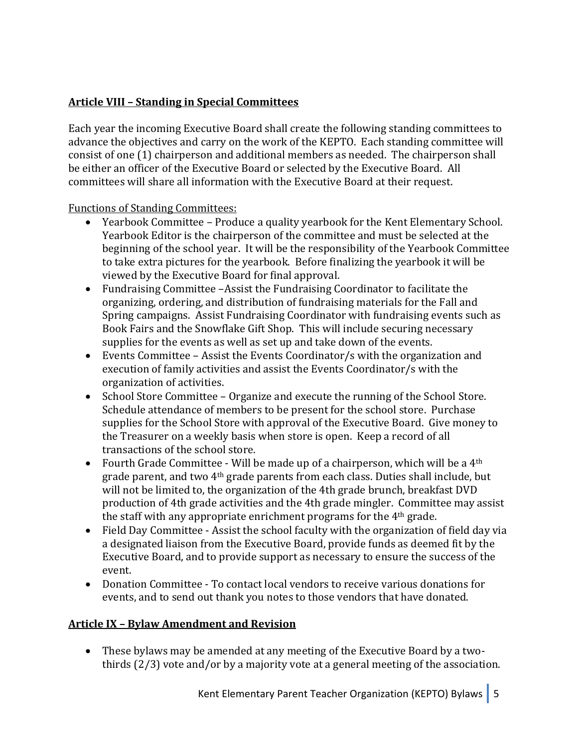### **Article VIII – Standing in Special Committees**

Each year the incoming Executive Board shall create the following standing committees to advance the objectives and carry on the work of the KEPTO. Each standing committee will consist of one (1) chairperson and additional members as needed. The chairperson shall be either an officer of the Executive Board or selected by the Executive Board. All committees will share all information with the Executive Board at their request.

Functions of Standing Committees:

- Yearbook Committee Produce a quality yearbook for the Kent Elementary School. Yearbook Editor is the chairperson of the committee and must be selected at the beginning of the school year. It will be the responsibility of the Yearbook Committee to take extra pictures for the yearbook. Before finalizing the yearbook it will be viewed by the Executive Board for final approval.
- Fundraising Committee -Assist the Fundraising Coordinator to facilitate the organizing, ordering, and distribution of fundraising materials for the Fall and Spring campaigns. Assist Fundraising Coordinator with fundraising events such as Book Fairs and the Snowflake Gift Shop. This will include securing necessary supplies for the events as well as set up and take down of the events.
- Events Committee  $-$  Assist the Events Coordinator/s with the organization and execution of family activities and assist the Events Coordinator/s with the organization of activities.
- School Store Committee Organize and execute the running of the School Store. Schedule attendance of members to be present for the school store. Purchase supplies for the School Store with approval of the Executive Board. Give money to the Treasurer on a weekly basis when store is open. Keep a record of all transactions of the school store.
- Fourth Grade Committee Will be made up of a chairperson, which will be a  $4<sup>th</sup>$ grade parent, and two 4<sup>th</sup> grade parents from each class. Duties shall include, but will not be limited to, the organization of the 4th grade brunch, breakfast DVD production of 4th grade activities and the 4th grade mingler. Committee may assist the staff with any appropriate enrichment programs for the  $4<sup>th</sup>$  grade.
- Field Day Committee Assist the school faculty with the organization of field day via a designated liaison from the Executive Board, provide funds as deemed fit by the Executive Board, and to provide support as necessary to ensure the success of the event.
- Donation Committee To contact local vendors to receive various donations for events, and to send out thank you notes to those vendors that have donated.

### **Article IX - Bylaw Amendment and Revision**

• These bylaws may be amended at any meeting of the Executive Board by a twothirds  $(2/3)$  vote and/or by a majority vote at a general meeting of the association.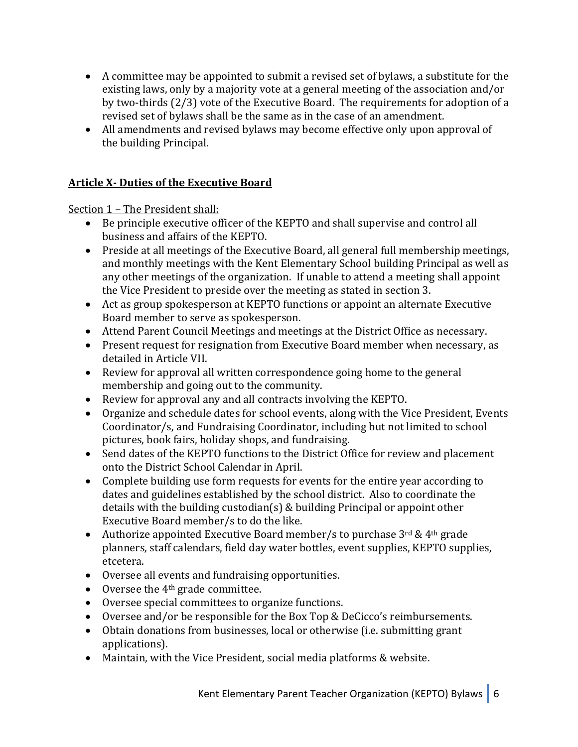- A committee may be appointed to submit a revised set of bylaws, a substitute for the existing laws, only by a majority vote at a general meeting of the association and/or by two-thirds  $(2/3)$  vote of the Executive Board. The requirements for adoption of a revised set of bylaws shall be the same as in the case of an amendment.
- All amendments and revised bylaws may become effective only upon approval of the building Principal.

### **Article X- Duties of the Executive Board**

Section 1 - The President shall:

- Be principle executive officer of the KEPTO and shall supervise and control all business and affairs of the KEPTO.
- Preside at all meetings of the Executive Board, all general full membership meetings, and monthly meetings with the Kent Elementary School building Principal as well as any other meetings of the organization. If unable to attend a meeting shall appoint the Vice President to preside over the meeting as stated in section 3.
- Act as group spokesperson at KEPTO functions or appoint an alternate Executive Board member to serve as spokesperson.
- Attend Parent Council Meetings and meetings at the District Office as necessary.
- Present request for resignation from Executive Board member when necessary, as detailed in Article VII.
- Review for approval all written correspondence going home to the general membership and going out to the community.
- Review for approval any and all contracts involving the KEPTO.
- Organize and schedule dates for school events, along with the Vice President, Events Coordinator/s, and Fundraising Coordinator, including but not limited to school pictures, book fairs, holiday shops, and fundraising.
- Send dates of the KEPTO functions to the District Office for review and placement onto the District School Calendar in April.
- Complete building use form requests for events for the entire year according to dates and guidelines established by the school district. Also to coordinate the details with the building custodian(s)  $&$  building Principal or appoint other Executive Board member/s to do the like.
- Authorize appointed Executive Board member/s to purchase  $3^{rd}$  &  $4^{th}$  grade planners, staff calendars, field day water bottles, event supplies, KEPTO supplies, etcetera.
- Oversee all events and fundraising opportunities.
- Oversee the  $4<sup>th</sup>$  grade committee.
- Oversee special committees to organize functions.
- Oversee and/or be responsible for the Box Top & DeCicco's reimbursements.
- Obtain donations from businesses, local or otherwise (i.e. submitting grant applications).
- Maintain, with the Vice President, social media platforms & website.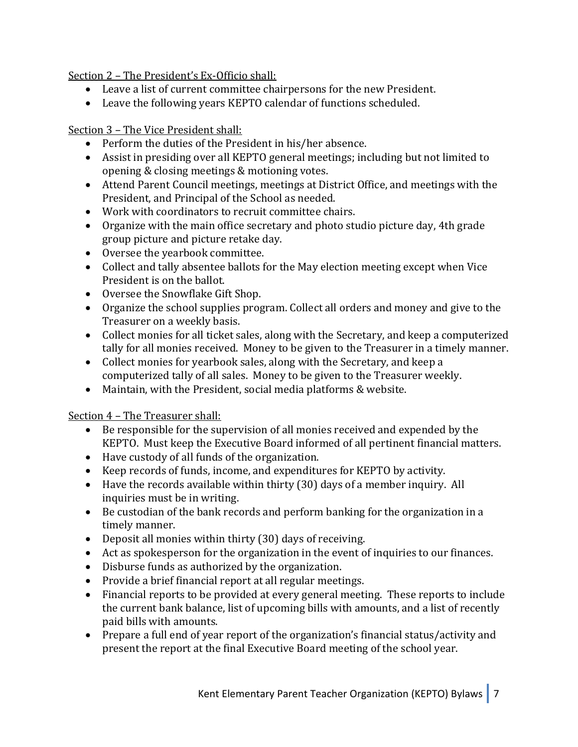Section 2 - The President's Ex-Officio shall:

- Leave a list of current committee chairpersons for the new President.
- Leave the following years KEPTO calendar of functions scheduled.

### Section 3 - The Vice President shall:

- Perform the duties of the President in his/her absence.
- Assist in presiding over all KEPTO general meetings; including but not limited to opening & closing meetings & motioning votes.
- Attend Parent Council meetings, meetings at District Office, and meetings with the President, and Principal of the School as needed.
- Work with coordinators to recruit committee chairs.
- Organize with the main office secretary and photo studio picture day, 4th grade group picture and picture retake day.
- Oversee the yearbook committee.
- Collect and tally absentee ballots for the May election meeting except when Vice President is on the ballot.
- Oversee the Snowflake Gift Shop.
- Organize the school supplies program. Collect all orders and money and give to the Treasurer on a weekly basis.
- Collect monies for all ticket sales, along with the Secretary, and keep a computerized tally for all monies received. Money to be given to the Treasurer in a timely manner.
- Collect monies for yearbook sales, along with the Secretary, and keep a computerized tally of all sales. Money to be given to the Treasurer weekly.
- Maintain, with the President, social media platforms & website.

Section 4 - The Treasurer shall:

- $\bullet$  Be responsible for the supervision of all monies received and expended by the KEPTO. Must keep the Executive Board informed of all pertinent financial matters.
- Have custody of all funds of the organization.
- Keep records of funds, income, and expenditures for KEPTO by activity.
- Have the records available within thirty  $(30)$  days of a member inquiry. All inquiries must be in writing.
- Be custodian of the bank records and perform banking for the organization in a timely manner.
- Deposit all monies within thirty (30) days of receiving.
- Act as spokesperson for the organization in the event of inquiries to our finances.
- Disburse funds as authorized by the organization.
- Provide a brief financial report at all regular meetings.
- Financial reports to be provided at every general meeting. These reports to include the current bank balance, list of upcoming bills with amounts, and a list of recently paid bills with amounts.
- Prepare a full end of year report of the organization's financial status/activity and present the report at the final Executive Board meeting of the school year.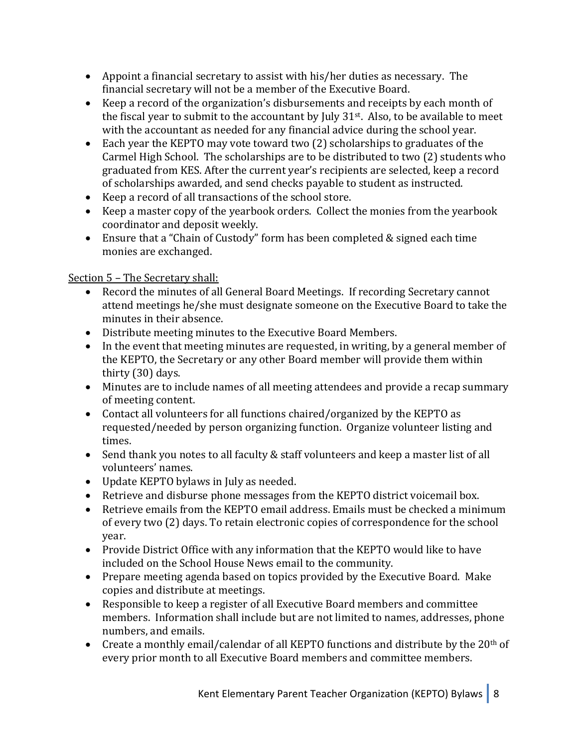- Appoint a financial secretary to assist with his/her duties as necessary. The financial secretary will not be a member of the Executive Board.
- Keep a record of the organization's disbursements and receipts by each month of the fiscal year to submit to the accountant by July  $31<sup>st</sup>$ . Also, to be available to meet with the accountant as needed for any financial advice during the school year.
- Each year the KEPTO may vote toward two (2) scholarships to graduates of the Carmel High School. The scholarships are to be distributed to two (2) students who graduated from KES. After the current year's recipients are selected, keep a record of scholarships awarded, and send checks payable to student as instructed.
- Keep a record of all transactions of the school store.
- Keep a master copy of the yearbook orders. Collect the monies from the yearbook coordinator and deposit weekly.
- Ensure that a "Chain of Custody" form has been completed & signed each time monies are exchanged.

Section 5 - The Secretary shall:

- Record the minutes of all General Board Meetings. If recording Secretary cannot attend meetings he/she must designate someone on the Executive Board to take the minutes in their absence.
- Distribute meeting minutes to the Executive Board Members.
- In the event that meeting minutes are requested, in writing, by a general member of the KEPTO, the Secretary or any other Board member will provide them within thirty (30) days.
- Minutes are to include names of all meeting attendees and provide a recap summary of meeting content.
- Contact all volunteers for all functions chaired/organized by the KEPTO as requested/needed by person organizing function. Organize volunteer listing and times.
- Send thank you notes to all faculty & staff volunteers and keep a master list of all volunteers' names.
- Update KEPTO bylaws in July as needed.
- Retrieve and disburse phone messages from the KEPTO district voicemail box.
- Retrieve emails from the KEPTO email address. Emails must be checked a minimum of every two (2) days. To retain electronic copies of correspondence for the school year.
- Provide District Office with any information that the KEPTO would like to have included on the School House News email to the community.
- Prepare meeting agenda based on topics provided by the Executive Board. Make copies and distribute at meetings.
- Responsible to keep a register of all Executive Board members and committee members. Information shall include but are not limited to names, addresses, phone numbers, and emails.
- Create a monthly email/calendar of all KEPTO functions and distribute by the  $20<sup>th</sup>$  of every prior month to all Executive Board members and committee members.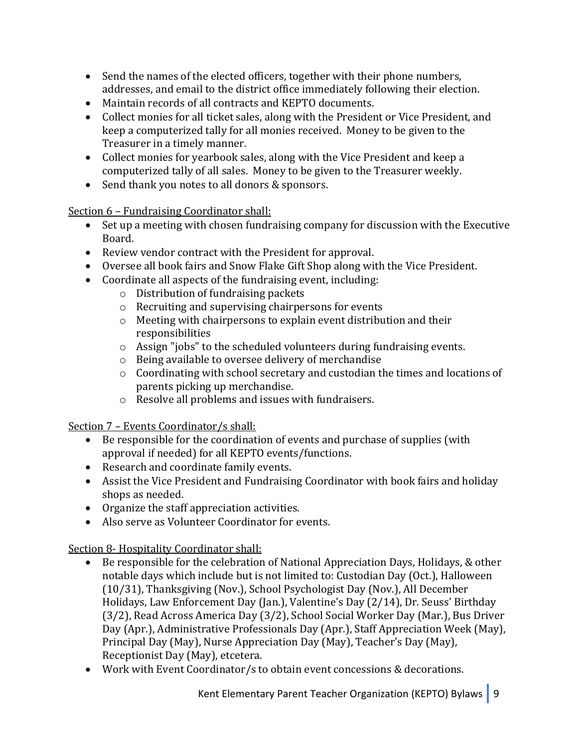- Send the names of the elected officers, together with their phone numbers, addresses, and email to the district office immediately following their election.
- Maintain records of all contracts and KEPTO documents.
- Collect monies for all ticket sales, along with the President or Vice President, and keep a computerized tally for all monies received. Money to be given to the Treasurer in a timely manner.
- Collect monies for yearbook sales, along with the Vice President and keep a computerized tally of all sales. Money to be given to the Treasurer weekly.
- Send thank you notes to all donors & sponsors.

Section 6 – Fundraising Coordinator shall:

- Set up a meeting with chosen fundraising company for discussion with the Executive Board.
- Review vendor contract with the President for approval.
- Oversee all book fairs and Snow Flake Gift Shop along with the Vice President.
- $\bullet$  Coordinate all aspects of the fundraising event, including:
	- $\circ$  Distribution of fundraising packets
	- $\circ$  Recruiting and supervising chairpersons for events
	- $\circ$  Meeting with chairpersons to explain event distribution and their responsibilities
	- $\circ$  Assign "jobs" to the scheduled volunteers during fundraising events.
	- $\circ$  Being available to oversee delivery of merchandise
	- $\circ$  Coordinating with school secretary and custodian the times and locations of parents picking up merchandise.
	- $\circ$  Resolve all problems and issues with fundraisers.

Section 7 - Events Coordinator/s shall:

- $\bullet$  Be responsible for the coordination of events and purchase of supplies (with approval if needed) for all KEPTO events/functions.
- Research and coordinate family events.
- Assist the Vice President and Fundraising Coordinator with book fairs and holiday shops as needed.
- Organize the staff appreciation activities.
- Also serve as Volunteer Coordinator for events.

Section 8- Hospitality Coordinator shall:

- Be responsible for the celebration of National Appreciation Days, Holidays, & other notable days which include but is not limited to: Custodian Day (Oct.), Halloween (10/31), Thanksgiving (Nov.), School Psychologist Day (Nov.), All December Holidays, Law Enforcement Day (Jan.), Valentine's Day (2/14), Dr. Seuss' Birthday  $(3/2)$ , Read Across America Day  $(3/2)$ , School Social Worker Day (Mar.), Bus Driver Day (Apr.), Administrative Professionals Day (Apr.), Staff Appreciation Week (May), Principal Day (May), Nurse Appreciation Day (May), Teacher's Day (May), Receptionist Day (May), etcetera.
- Work with Event Coordinator/s to obtain event concessions & decorations.